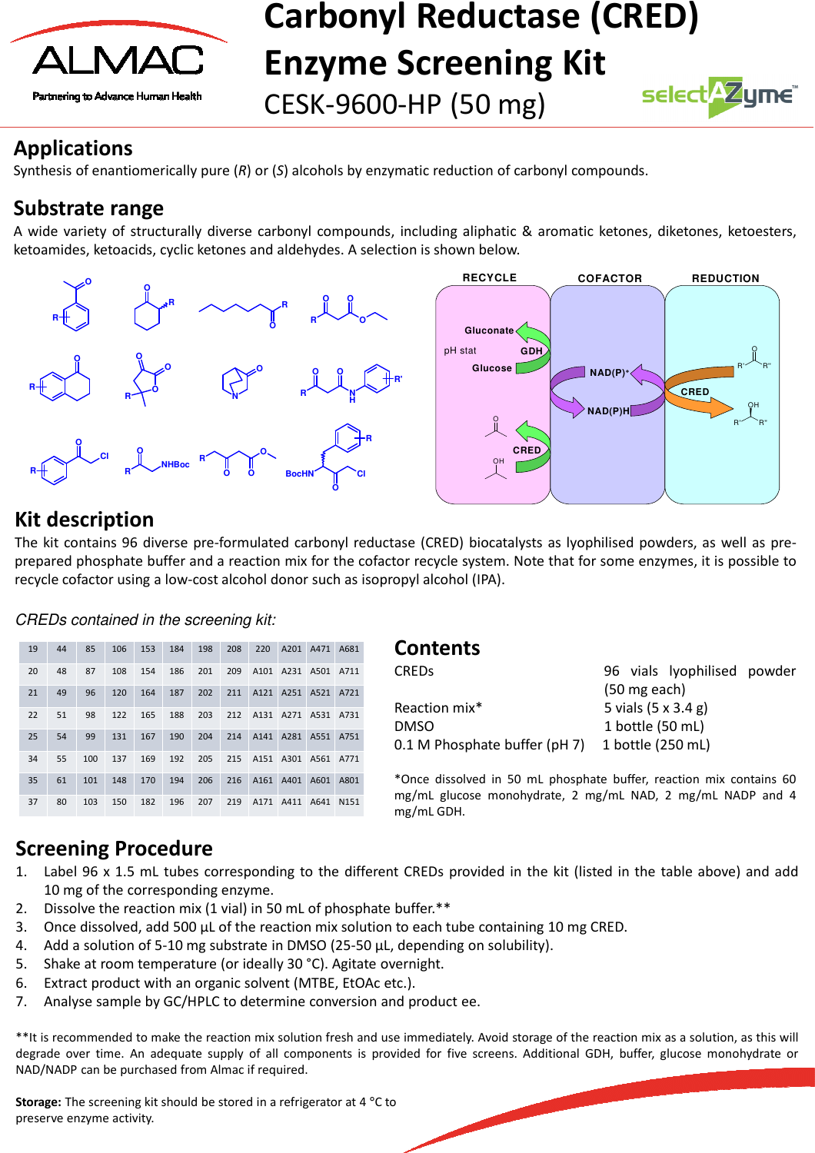

# **Carbonyl Reductase (CRED) Enzyme Screening Kit**

CESK-9600-HP (50 mg)



## **Applications**

Synthesis of enantiomerically pure (*R*) or (*S*) alcohols by enzymatic reduction of carbonyl compounds.

## **Substrate range**

A wide variety of structurally diverse carbonyl compounds, including aliphatic & aromatic ketones, diketones, ketoesters, ketoamides, ketoacids, cyclic ketones and aldehydes. A selection is shown below.



## **Kit description**

The kit contains 96 diverse pre-formulated carbonyl reductase (CRED) biocatalysts as lyophilised powders, as well as preprepared phosphate buffer and a reaction mix for the cofactor recycle system. Note that for some enzymes, it is possible to recycle cofactor using a low-cost alcohol donor such as isopropyl alcohol (IPA).

#### CREDs contained in the screening kit:

| 19 | 44 | 85  | 106 | 153 | 184 | 198 | 208 | 220              | A201 | A471             | A681             |
|----|----|-----|-----|-----|-----|-----|-----|------------------|------|------------------|------------------|
| 20 | 48 | 87  | 108 | 154 | 186 | 201 | 209 | A <sub>101</sub> | A231 | A501             | A711             |
| 21 | 49 | 96  | 120 | 164 | 187 | 202 | 211 | A121             | A251 | A <sub>521</sub> | A721             |
| 22 | 51 | 98  | 122 | 165 | 188 | 203 | 212 | A <sub>131</sub> | A271 | A531             | A731             |
| 25 | 54 | 99  | 131 | 167 | 190 | 204 | 214 | A141             | A281 | A551             | A751             |
| 34 | 55 | 100 | 137 | 169 | 192 | 205 | 215 | A151             | A301 | A561             | A771             |
| 35 | 61 | 101 | 148 | 170 | 194 | 206 | 216 | A161             | A401 | A601             | A801             |
| 37 | 80 | 103 | 150 | 182 | 196 | 207 | 219 | A171             | A411 | A641             | N <sub>151</sub> |

#### **Contents**

| <b>CREDS</b>                  | 96 vials lyophilised powder        |
|-------------------------------|------------------------------------|
|                               | $(50 \text{ mg each})$             |
| Reaction mix*                 | 5 vials $(5 \times 3.4 \text{ g})$ |
| <b>DMSO</b>                   | 1 bottle (50 mL)                   |
| 0.1 M Phosphate buffer (pH 7) | 1 bottle (250 mL)                  |

\*Once dissolved in 50 mL phosphate buffer, reaction mix contains 60 mg/mL glucose monohydrate, 2 mg/mL NAD, 2 mg/mL NADP and 4 mg/mL GDH.

## **Screening Procedure**

- 1. Label 96 x 1.5 mL tubes corresponding to the different CREDs provided in the kit (listed in the table above) and add 10 mg of the corresponding enzyme.
- 2. Dissolve the reaction mix (1 vial) in 50 mL of phosphate buffer.\*\*
- 3. Once dissolved, add 500 μL of the reaction mix solution to each tube containing 10 mg CRED.
- 4. Add a solution of 5-10 mg substrate in DMSO (25-50 μL, depending on solubility).
- 5. Shake at room temperature (or ideally 30 °C). Agitate overnight.
- 6. Extract product with an organic solvent (MTBE, EtOAc etc.).
- 7. Analyse sample by GC/HPLC to determine conversion and product ee.

\*\*It is recommended to make the reaction mix solution fresh and use immediately. Avoid storage of the reaction mix as a solution, as this will degrade over time. An adequate supply of all components is provided for five screens. Additional GDH, buffer, glucose monohydrate or NAD/NADP can be purchased from Almac if required.

**Storage:** The screening kit should be stored in a refrigerator at 4 °C to preserve enzyme activity.